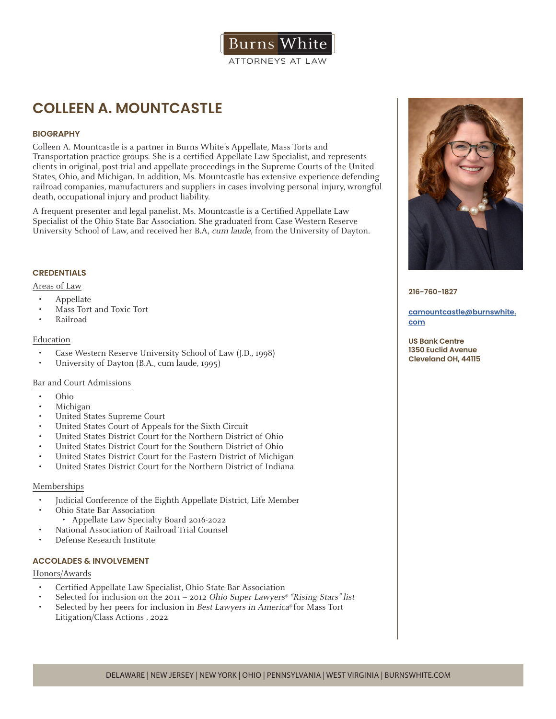

# **COLLEEN A. MOUNTCASTLE**

### **BIOGRAPHY**

Colleen A. Mountcastle is a partner in Burns White's Appellate, Mass Torts and Transportation practice groups. She is a certified Appellate Law Specialist, and represents clients in original, post-trial and appellate proceedings in the Supreme Courts of the United States, Ohio, and Michigan. In addition, Ms. Mountcastle has extensive experience defending railroad companies, manufacturers and suppliers in cases involving personal injury, wrongful death, occupational injury and product liability.

A frequent presenter and legal panelist, Ms. Mountcastle is a Certified Appellate Law Specialist of the Ohio State Bar Association. She graduated from Case Western Reserve University School of Law, and received her B.A, cum laude, from the University of Dayton.

#### **CREDENTIALS**

#### Areas of Law

- Appellate
- Mass Tort and Toxic Tort
- Railroad

#### Education

- Case Western Reserve University School of Law (J.D., 1998)
- University of Dayton (B.A., cum laude, 1995)

#### Bar and Court Admissions

- Ohio
- Michigan
- United States Supreme Court
- United States Court of Appeals for the Sixth Circuit
- United States District Court for the Northern District of Ohio
- United States District Court for the Southern District of Ohio
- United States District Court for the Eastern District of Michigan
- United States District Court for the Northern District of Indiana

#### Memberships

- Judicial Conference of the Eighth Appellate District, Life Member
- Ohio State Bar Association
- Appellate Law Specialty Board 2016-2022 • National Association of Railroad Trial Counsel
- Defense Research Institute
- 

## **ACCOLADES & INVOLVEMENT**

#### Honors/Awards

- Certified Appellate Law Specialist, Ohio State Bar Association
- Selected for inclusion on the 2011 2012 Ohio Super Lawyers® "Rising Stars" list
- Selected by her peers for inclusion in Best Lawyers in America® for Mass Tort Litigation/Class Actions , 2022



**216-760-1827**

**camountcastle@burnswhite. com**

**US Bank Centre 1350 Euclid Avenue Cleveland OH, 44115**